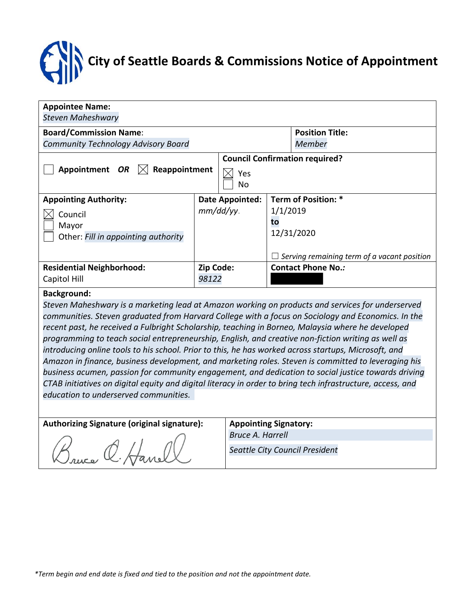# **City of Seattle Boards & Commissions Notice of Appointment**

| <b>Steven Maheshwary</b>         |                                       |                                                           |                                             |  |  |  |  |  |  |
|----------------------------------|---------------------------------------|-----------------------------------------------------------|---------------------------------------------|--|--|--|--|--|--|
|                                  |                                       | <b>Position Title:</b>                                    |                                             |  |  |  |  |  |  |
|                                  |                                       | Member                                                    |                                             |  |  |  |  |  |  |
|                                  | <b>Council Confirmation required?</b> |                                                           |                                             |  |  |  |  |  |  |
| Reappointment                    | Yes                                   |                                                           |                                             |  |  |  |  |  |  |
|                                  | No                                    |                                                           |                                             |  |  |  |  |  |  |
| <b>Appointing Authority:</b>     |                                       |                                                           | Term of Position: *                         |  |  |  |  |  |  |
|                                  |                                       |                                                           | 1/1/2019                                    |  |  |  |  |  |  |
|                                  |                                       | to                                                        |                                             |  |  |  |  |  |  |
|                                  |                                       |                                                           | 12/31/2020                                  |  |  |  |  |  |  |
|                                  |                                       |                                                           |                                             |  |  |  |  |  |  |
|                                  |                                       |                                                           | Serving remaining term of a vacant position |  |  |  |  |  |  |
| <b>Residential Neighborhood:</b> |                                       | <b>Contact Phone No.:</b>                                 |                                             |  |  |  |  |  |  |
| Capitol Hill                     |                                       |                                                           |                                             |  |  |  |  |  |  |
|                                  |                                       | <b>Date Appointed:</b><br>mm/dd/yy.<br>Zip Code:<br>98122 |                                             |  |  |  |  |  |  |

#### **Background:**

*Steven Maheshwary is a marketing lead at Amazon working on products and services for underserved communities. Steven graduated from Harvard College with a focus on Sociology and Economics. In the recent past, he received a Fulbright Scholarship, teaching in Borneo, Malaysia where he developed programming to teach social entrepreneurship, English, and creative non-fiction writing as well as introducing online tools to his school. Prior to this, he has worked across startups, Microsoft, and Amazon in finance, business development, and marketing roles. Steven is committed to leveraging his business acumen, passion for community engagement, and dedication to social justice towards driving CTAB initiatives on digital equity and digital literacy in order to bring tech infrastructure, access, and education to underserved communities.* 

### **Authorizing Signature (original signature): Appointing Signatory:**

*Bruce A. Harrell*

*Seattle City Council President*

Bruce C. Hanel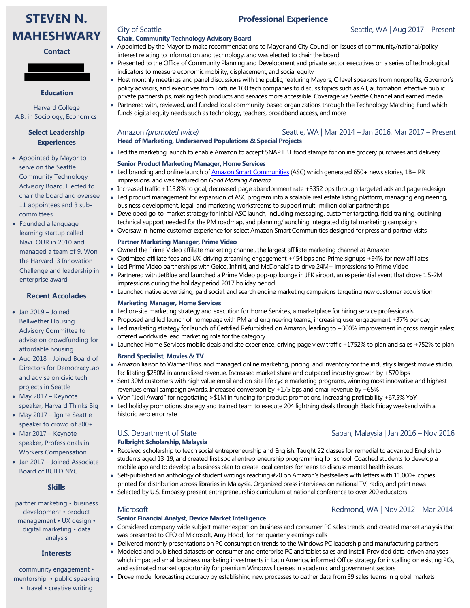

#### **Contact**

#### **Education**

Harvard College A.B. in Sociology, Economics

#### **Select Leadership Experiences**

- Appointed by Mayor to serve on the Seattle Community Technology Advisory Board. Elected to chair the board and oversee 11 appointees and 3 subcommittees
- Founded a language learning startup called NaviTOUR in 2010 and managed a team of 9. Won the Harvard i3 Innovation Challenge and leadership in enterprise award

#### **Recent Accolades**

- Jan 2019 Joined Bellwether Housing Advisory Committee to advise on crowdfunding for affordable housing
- Aug 2018 Joined Board of Directors for DemocracyLab and advise on civic tech projects in Seattle
- May 2017 Keynote speaker, Harvard Thinks Big
- May 2017 Ignite Seattle speaker to crowd of 800+
- Mar 2017 Keynote speaker, Professionals in Workers Compensation
- Jan 2017 Joined Associate Board of BUILD NYC

#### **Skills**

partner marketing • business development • product management • UX design • digital marketing • data analysis

#### **Interests**

community engagement • mentorship • public speaking • travel • creative writing

#### **Chair, Community Technology Advisory Board**

• Appointed by the Mayor to make recommendations to Mayor and City Council on issues of community/national/policy interest relating to information and technology, and was elected to chair the board

**Professional Experience**

- Presented to the Office of Community Planning and Development and private sector executives on a series of technological indicators to measure economic mobility, displacement, and social equity
- Host monthly meetings and panel discussions with the public, featuring Mayors, C-level speakers from nonprofits, Governor's policy advisors, and executives from Fortune 100 tech companies to discuss topics such as A.I, automation, effective public private partnerships, making tech products and services more accessible. Coverage via Seattle Channel and earned media
- Partnered with, reviewed, and funded local community-based organizations through the Technology Matching Fund which funds digital equity needs such as technology, teachers, broadband access, and more

#### Amazon *(promoted twice)* Seattle, WA | Mar 2014 – Jan 2016, Mar 2017 – Present **Head of Marketing, Underserved Populations & Special Projects**

### • Led the marketing launch to enable Amazon to accept SNAP EBT food stamps for online grocery purchases and delivery

- **Senior Product Marketing Manager, Home Services**
- Led branding and online launch o[f Amazon Smart Communities](http://www.amazon.com/experience) (ASC) which generated 650+ news stories, 1B+ PR impressions, and was featured on *Good Morning America*
- Increased traffic +113.8% to goal, decreased page abandonment rate +3352 bps through targeted ads and page redesign
- Led product management for expansion of ASC program into a scalable real estate listing platform, managing engineering, business development, legal, and marketing workstreams to support multi-million dollar partnerships
- Developed go-to-market strategy for initial ASC launch, including messaging, customer targeting, field training, outlining technical support needed for the PM roadmap, and planning/launching integrated digital marketing campaigns
- Oversaw in-home customer experience for select Amazon Smart Communities designed for press and partner visits

#### **Partner Marketing Manager, Prime Video**

- Owned the Prime Video affiliate marketing channel, the largest affiliate marketing channel at Amazon
- Optimized affiliate fees and UX, driving streaming engagement +454 bps and Prime signups +94% for new affiliates
- Led Prime Video partnerships with Geico, Infiniti, and McDonald's to drive 24M+ impressions to Prime Video
- Partnered with JetBlue and launched a Prime Video pop-up lounge in JFK airport, an experiential event that drove 1.5-2M impressions during the holiday period 2017 holiday period
- Launched native advertising, paid social, and search engine marketing campaigns targeting new customer acquisition

#### **Marketing Manager, Home Services**

- Led on-site marketing strategy and execution for Home Services, a marketplace for hiring service professionals
- Proposed and led launch of homepage with PM and engineering teams,, increasing user engagement +37% per day
- Led marketing strategy for launch of Certified Refurbished on Amazon, leading to +300% improvement in gross margin sales; offered worldwide lead marketing role for the category
- Launched Home Services mobile deals and site experience, driving page view traffic +1752% to plan and sales +752% to plan **Brand Specialist, Movies & TV**
- Amazon liaison to Warner Bros. and managed online marketing, pricing, and inventory for the industry's largest movie studio, facilitating \$250M in annualized revenue. Increased market share and outpaced industry growth by +570 bps
- Sent 30M customers with high value email and on-site life cycle marketing programs, winning most innovative and highest revenues email campaign awards. Increased conversion by +175 bps and email revenue by +65%
- Won "Jedi Award" for negotiating >\$1M in funding for product promotions, increasing profitability +67.5% YoY
- Led holiday promotions strategy and trained team to execute 204 lightning deals through Black Friday weekend with a historic zero error rate

## **Fulbright Scholarship, Malaysia**

- Received scholarship to teach social entrepreneurship and English. Taught 22 classes for remedial to advanced English to students aged 13-19, and created first social entrepreneurship programming for school. Coached students to develop a mobile app and to develop a business plan to create local centers for teens to discuss mental health issues
- Self-published an anthology of student writings reaching #20 on Amazon's bestsellers with letters with 11,000+ copies printed for distribution across libraries in Malaysia. Organized press interviews on national TV, radio, and print news
- Selected by U.S. Embassy present entrepreneurship curriculum at national conference to over 200 educators

#### Microsoft Redmond, WA | Nov 2012 – Mar 2014

# **Senior Financial Analyst, Device Market Intelligence**

- Considered company-wide subject matter expert on business and consumer PC sales trends, and created market analysis that was presented to CFO of Microsoft, Amy Hood, for her quarterly earnings calls
- Delivered monthly presentations on PC consumption trends to the Windows PC leadership and manufacturing partners
- Modeled and published datasets on consumer and enterprise PC and tablet sales and install. Provided data-driven analyses which impacted small business marketing investments in Latin America, informed Office strategy for installing on existing PCs, and estimated market opportunity for premium Windows licenses in academic and government sectors
- Drove model forecasting accuracy by establishing new processes to gather data from 39 sales teams in global markets

#### U.S. Department of State Sabah, Malaysia | Jan 2016 – Nov 2016